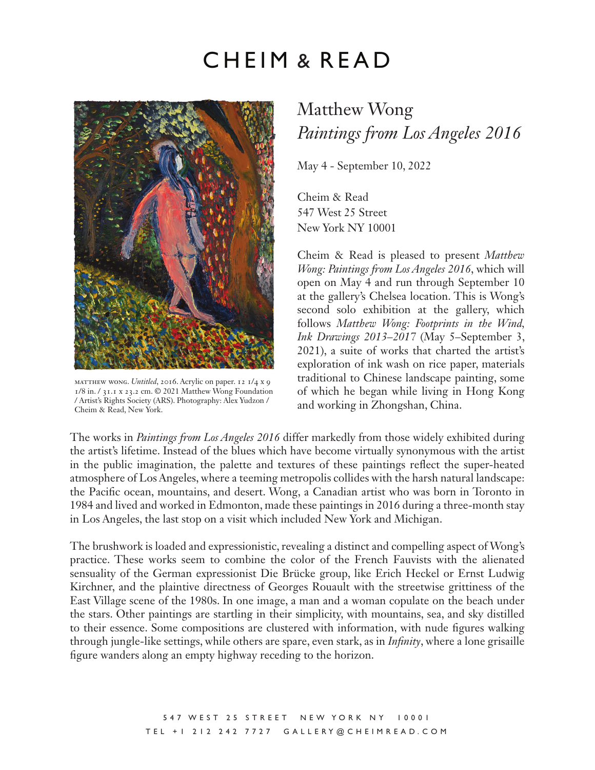## CHEIM & READ



matthew wong. *Untitled*, 2016. Acrylic on paper. 12 1/4 x 9 1/8 in. / 31.1 x 23.2 cm. © 2021 Matthew Wong Foundation / Artist's Rights Society (ARS). Photography: Alex Yudzon / Cheim & Read, New York.

## Matthew Wong *Paintings from Los Angeles 2016*

May 4 - September 10, 2022

Cheim & Read 547 West 25 Street New York NY 10001

Cheim & Read is pleased to present *Matthew Wong: Paintings from Los Angeles 2016*, which will open on May 4 and run through September 10 at the gallery's Chelsea location. This is Wong's second solo exhibition at the gallery, which follows *Matthew Wong: Footprints in the Wind, Ink Drawings 2013–2017* (May 5–September 3, 2021), a suite of works that charted the artist's exploration of ink wash on rice paper, materials traditional to Chinese landscape painting, some of which he began while living in Hong Kong and working in Zhongshan, China.

The works in *Paintings from Los Angeles 2016* differ markedly from those widely exhibited during the artist's lifetime. Instead of the blues which have become virtually synonymous with the artist in the public imagination, the palette and textures of these paintings reflect the super-heated atmosphere of Los Angeles, where a teeming metropolis collides with the harsh natural landscape: the Pacific ocean, mountains, and desert. Wong, a Canadian artist who was born in Toronto in 1984 and lived and worked in Edmonton, made these paintings in 2016 during a three-month stay in Los Angeles, the last stop on a visit which included New York and Michigan.

The brushwork is loaded and expressionistic, revealing a distinct and compelling aspect of Wong's practice. These works seem to combine the color of the French Fauvists with the alienated sensuality of the German expressionist Die Brücke group, like Erich Heckel or Ernst Ludwig Kirchner, and the plaintive directness of Georges Rouault with the streetwise grittiness of the East Village scene of the 1980s. In one image, a man and a woman copulate on the beach under the stars. Other paintings are startling in their simplicity, with mountains, sea, and sky distilled to their essence. Some compositions are clustered with information, with nude figures walking through jungle-like settings, while others are spare, even stark, as in *Infinity*, where a lone grisaille figure wanders along an empty highway receding to the horizon.